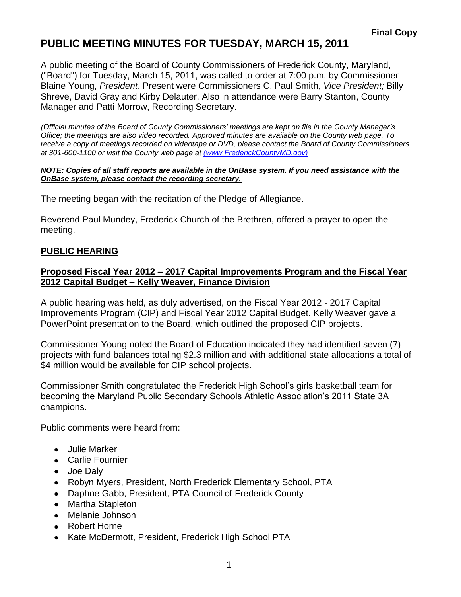# **PUBLIC MEETING MINUTES FOR TUESDAY, MARCH 15, 2011**

A public meeting of the Board of County Commissioners of Frederick County, Maryland, ("Board") for Tuesday, March 15, 2011, was called to order at 7:00 p.m. by Commissioner Blaine Young, *President*. Present were Commissioners C. Paul Smith, *Vice President;* Billy Shreve, David Gray and Kirby Delauter. Also in attendance were Barry Stanton, County Manager and Patti Morrow, Recording Secretary.

*(Official minutes of the Board of County Commissioners' meetings are kept on file in the County Manager's Office; the meetings are also video recorded. Approved minutes are available on the County web page. To receive a copy of meetings recorded on videotape or DVD, please contact the Board of County Commissioners at 301-600-1100 or visit the County web page at [\(www.FrederickCountyMD.gov\)](file://NT1S5/BOCC/BOCC/BOCC%20Minutes/Patti)*

#### *NOTE: Copies of all staff reports are available in the OnBase system. If you need assistance with the OnBase system, please contact the recording secretary.*

The meeting began with the recitation of the Pledge of Allegiance.

Reverend Paul Mundey, Frederick Church of the Brethren, offered a prayer to open the meeting.

# **PUBLIC HEARING**

### **Proposed Fiscal Year 2012 – 2017 Capital Improvements Program and the Fiscal Year 2012 Capital Budget – Kelly Weaver, Finance Division**

A public hearing was held, as duly advertised, on the Fiscal Year 2012 - 2017 Capital Improvements Program (CIP) and Fiscal Year 2012 Capital Budget. Kelly Weaver gave a PowerPoint presentation to the Board, which outlined the proposed CIP projects.

Commissioner Young noted the Board of Education indicated they had identified seven (7) projects with fund balances totaling \$2.3 million and with additional state allocations a total of \$4 million would be available for CIP school projects.

Commissioner Smith congratulated the Frederick High School's girls basketball team for becoming the Maryland Public Secondary Schools Athletic Association's 2011 State 3A champions.

Public comments were heard from:

- Julie Marker
- Carlie Fournier
- Joe Daly
- Robyn Myers, President, North Frederick Elementary School, PTA
- Daphne Gabb, President, PTA Council of Frederick County
- Martha Stapleton
- Melanie Johnson
- Robert Horne
- Kate McDermott, President, Frederick High School PTA